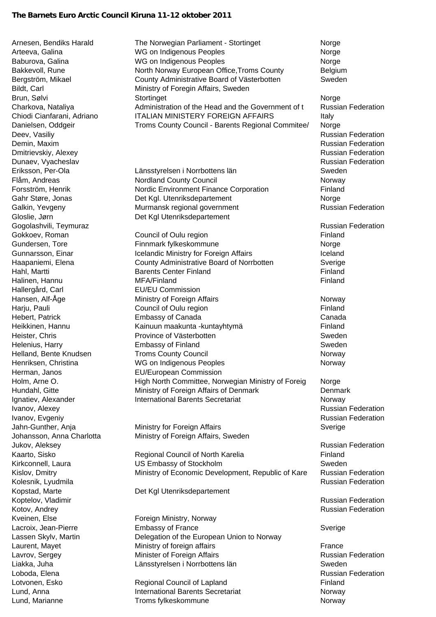## **The Barnets Euro Arctic Council Kiruna 11-12 oktober 2011**

Hallergård, Carl **EU/EU Commission** Kveinen, Else Foreign Ministry, Norway Lund, Marianne **Norway Troms fylkeskommune** Norway Norway

Arnesen, Bendiks Harald The Norwegian Parliament - Stortinget Norge Arteeva, Galina **NG ON Indigenous Peoples** Norge Norge Baburova, Galina WG on Indigenous Peoples Norge Bakkevoll, Rune **North Norway European Office, Troms County** Belgium Bergström, Mikael County Administrative Board of Västerbotten Sweden Bildt, Carl **Ministry of Foregin Affairs, Sweden** Brun, Sølvi Stortinget Norge Norge Norge Norge Norge Norge Norge Norge Norge Norge Norge Norge Norge Norge Norge Norge Norge Norge Norge Norge Norge Norge Norge Norge Norge Norge Norge Norge Norge Norge Norge Norge Norge N Charkova, Nataliya Administration of the Head and the Government of t Russian Federation Chiodi Cianfarani, Adriano ITALIAN MINISTERY FOREIGN AFFAIRS ltaly Danielsen, Oddgeir Troms County Council - Barents Regional Commitee/ Norge Deev, Vasiliy **New York Construction** Changes and Changes and Changes and Changes and Changes and Changes and Changes and Changes and Changes and Changes and Changes and Changes and Changes and Changes and Changes and Chan Demin, Maxim Russian Federation Dmitrievskiy, Alexey **Russian Federation** Dunaev, Vyacheslav Russian Federation Russian Federation Russian Federation Eriksson, Per-Ola Länsstyrelsen i Norrbottens län Sweden Flåm, Andreas Nordland County Council Norway Forsström, Henrik Nordic Environment Finance Corporation Finland Gahr Støre, Jonas **Det Kgl. Utenriksdepartement** Norge Galkin, Yevgeny **Murmansk regional government** Federation Russian Federation Gloslie, Jørn **Det Kgl Utenriksdepartement** Gogolashvili, Teymuraz **Russian Federation** Computer Computer Computer Computer Computer Computer Computer Computer Gokkoev, Roman **Council of Oulu region Council of Oulu region Finland** Gundersen, Tore **Finnmark fylkeskommune** Morge Norge Gunnarsson, Einar **Icelandic Ministry for Foreign Affairs** Iceland Haapaniemi, Elena County Administrative Board of Norrbotten Sverige Hahl, Martti **Example 2018** Center Finland **Finland Finland Finland** Halinen, Hannu **Einland** MEA/Finland Finland Finland Finland Hansen, Alf-Åge **Ministry of Foreign Affairs** Morway Harju, Pauli **Example 2018** Council of Oulu region **Finland** Finland Hebert, Patrick Embassy of Canada Canada Heikkinen, Hannu **Kainuun maakunta -kuntayhtymä** Finland Heister, Chris **Example 2018** Province of Västerbotten **Sweden** Sweden Helenius, Harry Embassy of Finland Sweden Helland, Bente Knudsen **Network County Council** Norway Norway Henriksen, Christina **NG on Indigenous Peoples** Norway Norway Herman, Janos EU/European Commission Holm, Arne O. **High North Committee, Norwegian Ministry of Foreig** Norge Hundahl, Gitte Ministry of Foreign Affairs of Denmark Denmark Ignatiev, Alexander **International Barents Secretariat** Norway Ivanov, Alexey Russian Federation Ivanov, Evgeniy **Russian Federation** Jahn-Gunther, Anja **Ministry for Foreign Affairs** Sverige Sverige Johansson, Anna Charlotta Ministry of Foreign Affairs, Sweden Jukov, Aleksey Russian Federation Kaarto, Sisko **Regional Council of North Karelia** Finland Kirkconnell, Laura **Communist Communist Communist Communist Communist Communist Communist Communist Communist Communist Communist Communist Communist Communist Communist Communist Communist Communist Communist Communist Co** Kislov, Dmitry **Ministry of Economic Development, Republic of Kare** Russian Federation Kolesnik, Lyudmila Russian Federation Kopstad, Marte **Det Kgl Utenriksdepartement** Koptelov, Vladimir **Koptelov, Vladimir** Russian Federation **Kotov, Andrey Russian Federation Russian Federation** Lacroix, Jean-Pierre Embassy of France Sverige Lassen Skylv, Martin Delegation of the European Union to Norway Laurent, Mayet **Example 2** Ministry of foreign affairs **France** Lavrov, Sergey **Minister of Foreign Affairs Russian Federation** Russian Federation Liakka, Juha Länsstyrelsen i Norrbottens län Sweden Loboda, Elena Russian Federation Lotvonen, Esko Regional Council of Lapland Finland Lund, Anna **International Barents Secretariat** Christ Norway